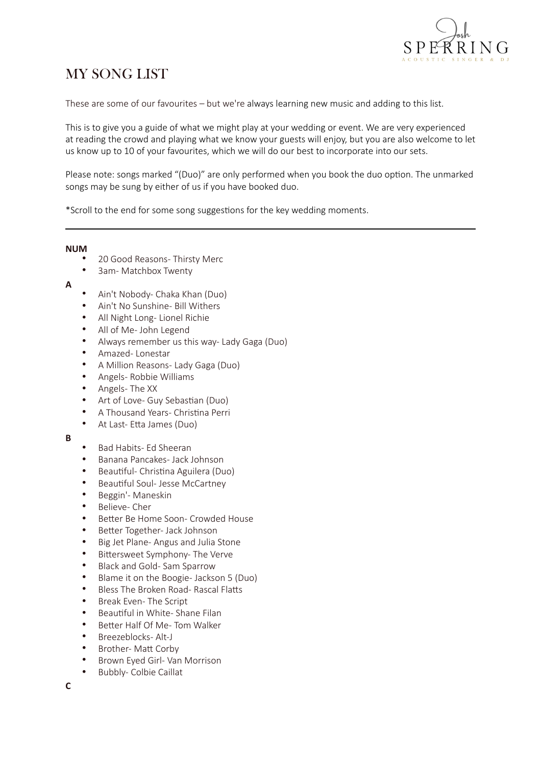

# MY SONG LIST

These are some of our favourites – but we're always learning new music and adding to this list.

This is to give you a guide of what we might play at your wedding or event. We are very experienced at reading the crowd and playing what we know your guests will enjoy, but you are also welcome to let us know up to 10 of your favourites, which we will do our best to incorporate into our sets.

Please note: songs marked "(Duo)" are only performed when you book the duo option. The unmarked songs may be sung by either of us if you have booked duo.

\*Scroll to the end for some song suggestions for the key wedding moments.

**NUM**

- 20 Good Reasons- Thirsty Merc
- 3am- Matchbox Twenty
- **A**
- Ain't Nobody- Chaka Khan (Duo)
- Ain't No Sunshine- Bill Withers
- All Night Long- Lionel Richie
- All of Me- John Legend
- Always remember us this way- Lady Gaga (Duo)
- Amazed- Lonestar
- A Million Reasons- Lady Gaga (Duo)
- Angels- Robbie Williams
- Angels- The XX
- Art of Love- Guy Sebastian (Duo)
- A Thousand Years- Christina Perri
- At Last- Etta James (Duo)
- **B**
- Bad Habits- Ed Sheeran
- Banana Pancakes- Jack Johnson
- Beautiful- Christina Aguilera (Duo)
- Beautiful Soul- Jesse McCartney
- Beggin'- Maneskin
- Believe- Cher
- Better Be Home Soon- Crowded House
- Better Together- Jack Johnson
- Big Jet Plane- Angus and Julia Stone
- Bittersweet Symphony- The Verve
- Black and Gold- Sam Sparrow
- Blame it on the Boogie- Jackson 5 (Duo)
- Bless The Broken Road- Rascal Flatts
- Break Even- The Script
- Beautiful in White- Shane Filan
- Better Half Of Me- Tom Walker
- Breezeblocks- Alt-J
- Brother- Matt Corby
- Brown Eyed Girl- Van Morrison
- Bubbly- Colbie Caillat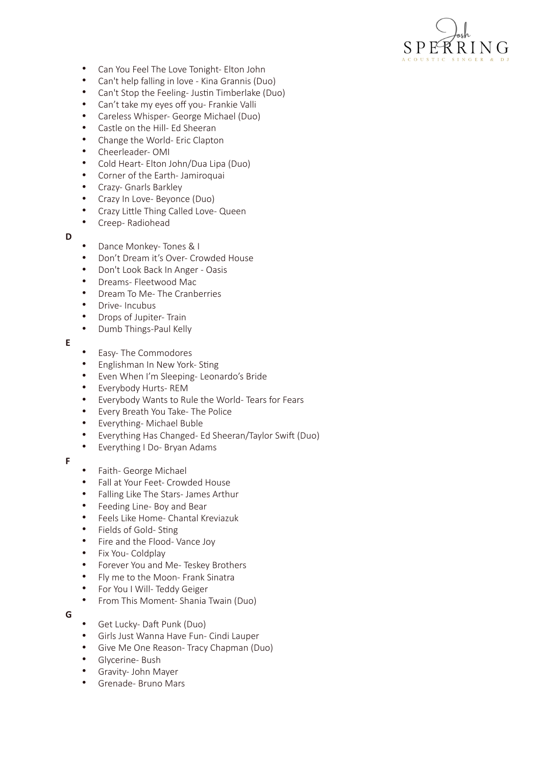

- Can You Feel The Love Tonight- Elton John
- Can't help falling in love Kina Grannis (Duo)
- Can't Stop the Feeling- Justin Timberlake (Duo)
- Can't take my eyes off you- Frankie Valli<br>• Careless Whisper- George Michael (Duo
- Careless Whisper- George Michael (Duo)
- Castle on the Hill- Ed Sheeran
- Change the World- Eric Clapton
- Cheerleader- OMI
- Cold Heart- Elton John/Dua Lipa (Duo)
- Corner of the Earth- Jamiroquai
- Crazy- Gnarls Barkley
- Crazy In Love- Beyonce (Duo)
- Crazy Little Thing Called Love- Queen
- Creep- Radiohead
- **D**
- Dance Monkey- Tones & I
- Don't Dream it's Over- Crowded House
- Don't Look Back In Anger Oasis
- Dreams- Fleetwood Mac
- Dream To Me- The Cranberries
- Drive- Incubus
- Drops of Jupiter- Train
- Dumb Things-Paul Kelly
- **E**
- Easy- The Commodores<br>• Englishman In New York
- Englishman In New York- Sting
- Even When I'm Sleeping- Leonardo's Bride
- Everybody Hurts- REM
- Everybody Wants to Rule the World- Tears for Fears
- Every Breath You Take- The Police
- Everything- Michael Buble
- Everything Has Changed- Ed Sheeran/Taylor Swift (Duo)
- Everything I Do- Bryan Adams
- **F**
- Faith- George Michael
- Fall at Your Feet- Crowded House
- Falling Like The Stars- James Arthur
- Feeding Line- Boy and Bear
- Feels Like Home- Chantal Kreviazuk
- Fields of Gold- Sting
- Fire and the Flood- Vance Joy
- Fix You- Coldplay
- Forever You and Me- Teskey Brothers
- Fly me to the Moon- Frank Sinatra
- For You I Will- Teddy Geiger
- From This Moment- Shania Twain (Duo)
- **G**
- Get Lucky- Daft Punk (Duo)
- Girls Just Wanna Have Fun- Cindi Lauper
- Give Me One Reason- Tracy Chapman (Duo)
- Glycerine- Bush
- Gravity- John Mayer
- Grenade- Bruno Mars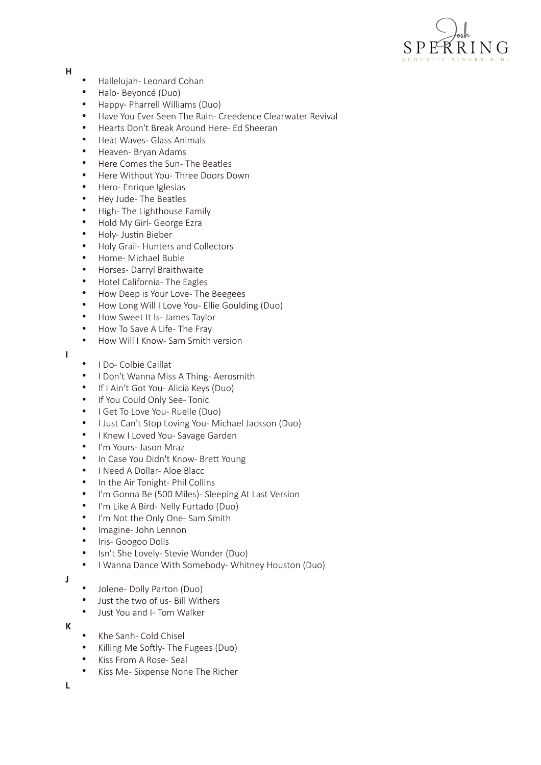

#### **H**

- Hallelujah- Leonard Cohan
- Halo- Beyoncé (Duo)
- Happy- Pharrell Williams (Duo)
- Have You Ever Seen The Rain- Creedence Clearwater Revival
- Hearts Don't Break Around Here- Ed Sheeran
- Heat Waves- Glass Animals
- Heaven- Bryan Adams
- Here Comes the Sun- The Beatles
- Here Without You- Three Doors Down
- Hero- Enrique Iglesias
- Hey Jude- The Beatles
- High- The Lighthouse Family
- Hold My Girl- George Ezra
- Holy- Justin Bieber
- Holy Grail- Hunters and Collectors
- Home- Michael Buble
- Horses- Darryl Braithwaite
- Hotel California- The Eagles
- How Deep is Your Love- The Beegees
- How Long Will I Love You- Ellie Goulding (Duo)
- How Sweet It Is- James Taylor
- How To Save A Life- The Fray
- How Will I Know- Sam Smith version
- **I**
- I Do- Colbie Caillat
- I Don't Wanna Miss A Thing- Aerosmith
- If I Ain't Got You- Alicia Keys (Duo)
- If You Could Only See- Tonic
- I Get To Love You- Ruelle (Duo)
- I Just Can't Stop Loving You- Michael Jackson (Duo)
- I Knew I Loved You- Savage Garden
- I'm Yours- Jason Mraz
- In Case You Didn't Know- Brett Young
- I Need A Dollar- Aloe Blacc
- In the Air Tonight- Phil Collins
- I'm Gonna Be (500 Miles)- Sleeping At Last Version
- I'm Like A Bird- Nelly Furtado (Duo)
- I'm Not the Only One- Sam Smith
- Imagine- John Lennon
- Iris- Googoo Dolls
- Isn't She Lovely- Stevie Wonder (Duo)<br>• I Wanna Dance With Somebody- Whit
- I Wanna Dance With Somebody- Whitney Houston (Duo)

**J**

- Jolene- Dolly Parton (Duo)
- Just the two of us- Bill Withers
- Just You and I- Tom Walker
- **K**
- Khe Sanh- Cold Chisel
- Killing Me Softly- The Fugees (Duo)
- Kiss From A Rose- Seal
- Kiss Me- Sixpense None The Richer

**L**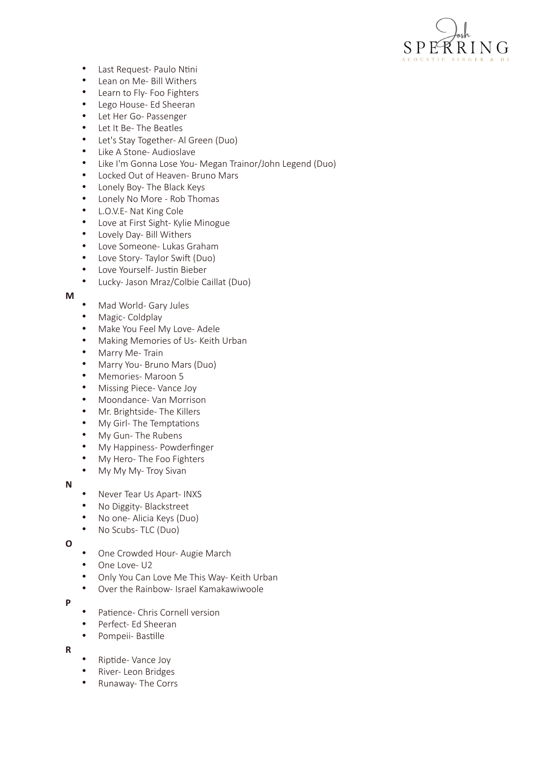

- Last Request- Paulo Ntini
- Lean on Me- Bill Withers
- Learn to Fly- Foo Fighters
- Lego House- Ed Sheeran
- Let Her Go- Passenger
- Let It Be- The Beatles
- Let's Stay Together- Al Green (Duo)
- Like A Stone- Audioslave
- Like I'm Gonna Lose You- Megan Trainor/John Legend (Duo)
- Locked Out of Heaven- Bruno Mars
- Lonely Boy- The Black Keys
- Lonely No More Rob Thomas
- L.O.V.E- Nat King Cole
- Love at First Sight- Kylie Minogue
- Lovely Day- Bill Withers
- Love Someone- Lukas Graham
- Love Story- Taylor Swift (Duo)
- Love Yourself- Justin Bieber
- Lucky- Jason Mraz/Colbie Caillat (Duo)

#### **M**

- Mad World- Gary Jules
- Magic- Coldplay
- Make You Feel My Love- Adele
- Making Memories of Us- Keith Urban
- Marry Me- Train
- Marry You- Bruno Mars (Duo)
- Memories- Maroon 5
- Missing Piece- Vance Joy
- Moondance- Van Morrison
- Mr. Brightside- The Killers
- My Girl- The Temptations
- My Gun- The Rubens
- My Happiness- Powderfinger
- My Hero- The Foo Fighters
- My My My-Troy Sivan

## **N**

- Never Tear Us Apart- INXS
- No Diggity- Blackstreet
- No one- Alicia Keys (Duo)
- No Scubs- TLC (Duo)

**O**

- One Crowded Hour- Augie March
- One Love- U2
- Only You Can Love Me This Way- Keith Urban
- Over the Rainbow- Israel Kamakawiwoole

## **P**

- Patience- Chris Cornell version
- Perfect- Ed Sheeran
- Pompeii- Bastille
- **R**
- Riptide- Vance Joy
- River- Leon Bridges
- Runaway- The Corrs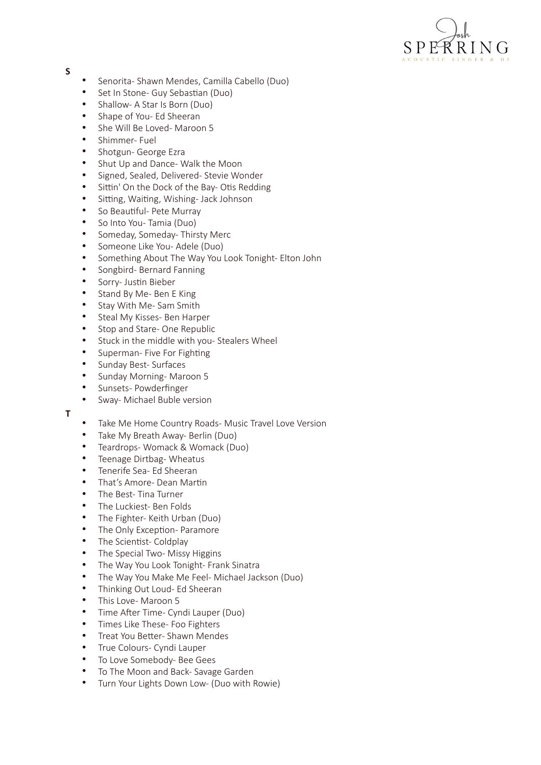

#### **S**

- Senorita- Shawn Mendes, Camilla Cabello (Duo)
- Set In Stone- Guy Sebastian (Duo)
- Shallow- A Star Is Born (Duo)
- Shape of You- Ed Sheeran
- She Will Be Loved- Maroon 5
- Shimmer- Fuel
- Shotgun- George Ezra
- Shut Up and Dance- Walk the Moon
- Signed, Sealed, Delivered- Stevie Wonder
- Sittin' On the Dock of the Bay- Otis Redding
- Sitting, Waiting, Wishing- Jack Johnson
- So Beautiful- Pete Murray
- So Into You- Tamia (Duo)
- Someday, Someday- Thirsty Merc
- Someone Like You- Adele (Duo)
- Something About The Way You Look Tonight- Elton John
- Songbird- Bernard Fanning
- Sorry- Justin Bieber
- Stand By Me- Ben E King
- Stay With Me- Sam Smith
- Steal My Kisses- Ben Harper
- Stop and Stare- One Republic
- Stuck in the middle with you- Stealers Wheel
- Superman- Five For Fighting
- Sunday Best- Surfaces
- Sunday Morning- Maroon 5
- Sunsets- Powderfinger
- Sway- Michael Buble version
- **T**
- Take Me Home Country Roads- Music Travel Love Version
- Take My Breath Away- Berlin (Duo)
- Teardrops- Womack & Womack (Duo)
- Teenage Dirtbag- Wheatus
- Tenerife Sea- Ed Sheeran
- That's Amore- Dean Martin
- The Best- Tina Turner
- The Luckiest- Ben Folds
- The Fighter- Keith Urban (Duo)
- The Only Exception- Paramore
- The Scientist- Coldplay
- The Special Two-Missy Higgins<br>• The Way You Look Tonight-Fran
- The Way You Look Tonight- Frank Sinatra
- The Way You Make Me Feel- Michael Jackson (Duo)
- Thinking Out Loud- Ed Sheeran
- This Love- Maroon 5
- Time After Time- Cyndi Lauper (Duo)
- Times Like These- Foo Fighters
- Treat You Better- Shawn Mendes
- True Colours- Cyndi Lauper
- To Love Somebody- Bee Gees
- To The Moon and Back- Savage Garden
- Turn Your Lights Down Low- (Duo with Rowie)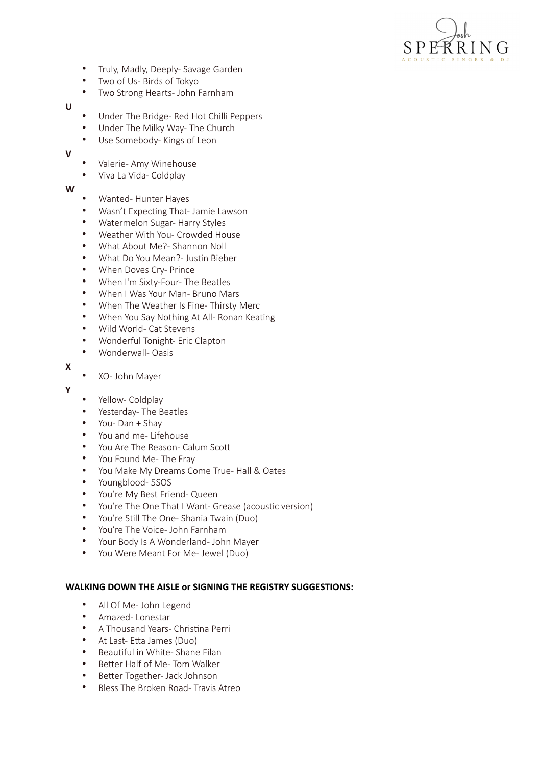

- Truly, Madly, Deeply- Savage Garden
- Two of Us- Birds of Tokyo
- Two Strong Hearts- John Farnham

**U**

- Under The Bridge- Red Hot Chilli Peppers
- Under The Milky Way- The Church
- Use Somebody- Kings of Leon

**V**

- Valerie- Amy Winehouse
- Viva La Vida- Coldplay

**W**

- Wanted- Hunter Hayes
- Wasn't Expecting That- Jamie Lawson
- Watermelon Sugar- Harry Styles
- Weather With You- Crowded House
- What About Me?- Shannon Noll
- What Do You Mean?- Justin Bieber
- When Doves Cry- Prince
- When I'm Sixty-Four- The Beatles
- When I Was Your Man- Bruno Mars
- When The Weather Is Fine- Thirsty Merc
- When You Say Nothing At All- Ronan Keating
- Wild World- Cat Stevens
- Wonderful Tonight- Eric Clapton
- Wonderwall- Oasis
- **X**

## • XO- John Mayer

**Y**

- Yellow- Coldplay
- Yesterday- The Beatles
- You- Dan + Shay
- You and me- Lifehouse
- You Are The Reason- Calum Scott
- You Found Me- The Fray
- You Make My Dreams Come True- Hall & Oates
- Youngblood- 5SOS
- You're My Best Friend- Queen
- You're The One That I Want- Grease (acoustic version)
- You're Still The One- Shania Twain (Duo)
- You're The Voice- John Farnham
- Your Body Is A Wonderland- John Mayer
- You Were Meant For Me- Jewel (Duo)

## WALKING DOWN THE AISLE or SIGNING THE REGISTRY SUGGESTIONS:

- All Of Me- John Legend
- Amazed- Lonestar
- A Thousand Years- Christina Perri
- At Last- Etta James (Duo)
- Beautiful in White- Shane Filan
- Better Half of Me- Tom Walker
- Better Together- Jack Johnson
- Bless The Broken Road- Travis Atreo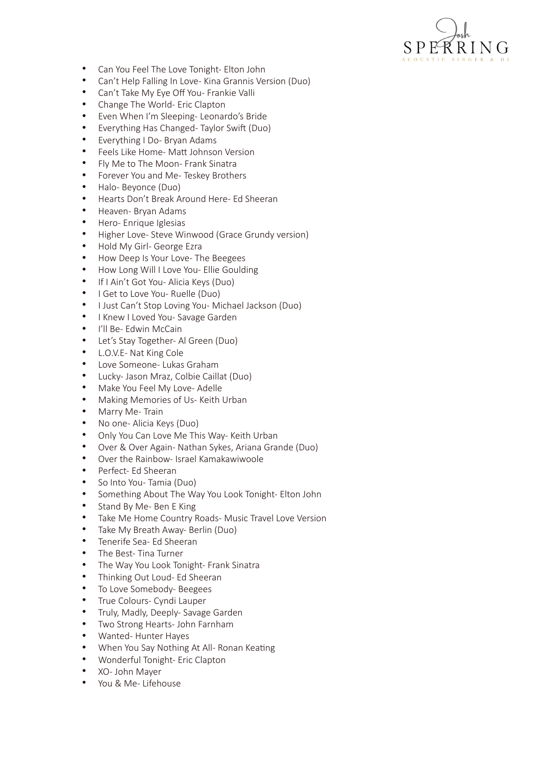

- Can You Feel The Love Tonight- Elton John
- Can't Help Falling In Love- Kina Grannis Version (Duo)
- Can't Take My Eye Off You- Frankie Valli
- Change The World- Eric Clapton
- Even When I'm Sleeping- Leonardo's Bride
- Everything Has Changed- Taylor Swift (Duo)
- Everything I Do- Bryan Adams
- Feels Like Home- Matt Johnson Version
- Fly Me to The Moon- Frank Sinatra
- Forever You and Me- Teskey Brothers
- Halo- Beyonce (Duo)
- Hearts Don't Break Around Here- Ed Sheeran
- Heaven- Bryan Adams
- Hero- Enrique Iglesias
- Higher Love- Steve Winwood (Grace Grundy version)
- Hold My Girl- George Ezra
- How Deep Is Your Love- The Beegees
- How Long Will I Love You- Ellie Goulding
- If I Ain't Got You- Alicia Keys (Duo)
- I Get to Love You- Ruelle (Duo)
- I Just Can't Stop Loving You- Michael Jackson (Duo)
- I Knew I Loved You- Savage Garden
- I'll Be- Edwin McCain
- Let's Stay Together- Al Green (Duo)
- L.O.V.E- Nat King Cole
- Love Someone- Lukas Graham
- Lucky- Jason Mraz, Colbie Caillat (Duo)
- Make You Feel My Love- Adelle
- Making Memories of Us- Keith Urban
- Marry Me- Train
- No one- Alicia Keys (Duo)
- Only You Can Love Me This Way- Keith Urban
- Over & Over Again- Nathan Sykes, Ariana Grande (Duo)
- Over the Rainbow- Israel Kamakawiwoole
- Perfect- Ed Sheeran
- So Into You- Tamia (Duo)
- Something About The Way You Look Tonight- Elton John
- Stand By Me- Ben E King
- Take Me Home Country Roads- Music Travel Love Version
- Take My Breath Away- Berlin (Duo)
- Tenerife Sea- Ed Sheeran
- The Best- Tina Turner
- The Way You Look Tonight- Frank Sinatra
- Thinking Out Loud- Ed Sheeran
- To Love Somebody- Beegees
- True Colours- Cyndi Lauper
- Truly, Madly, Deeply- Savage Garden
- Two Strong Hearts- John Farnham
- Wanted- Hunter Hayes
- When You Say Nothing At All- Ronan Keating
- Wonderful Tonight- Eric Clapton
- XO- John Mayer
- You & Me- Lifehouse